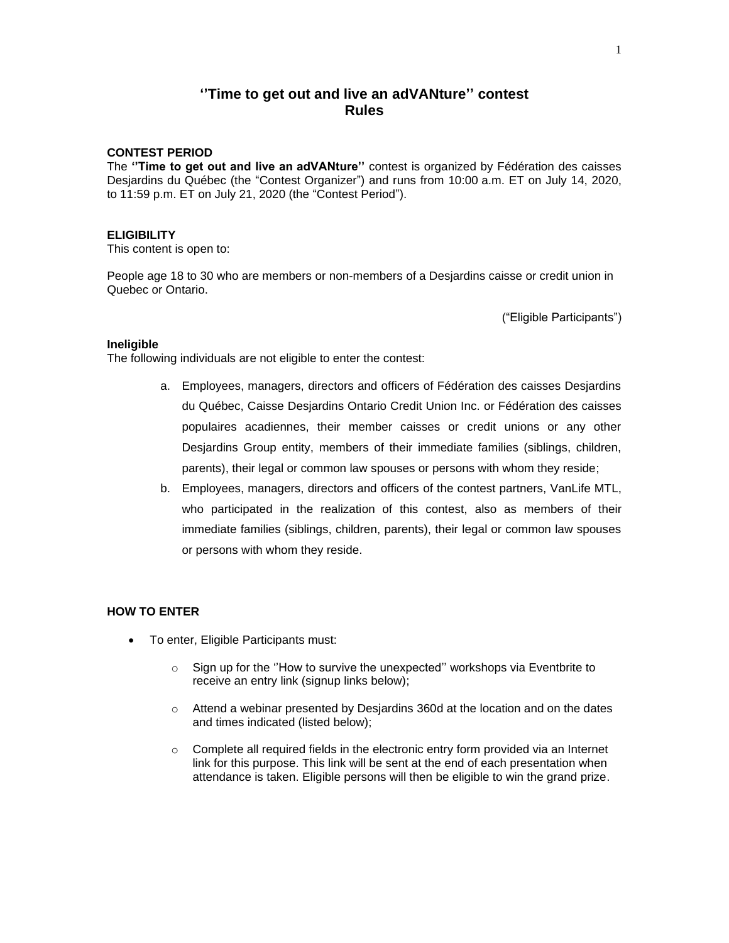# **''Time to get out and live an adVANture'' contest Rules**

# **CONTEST PERIOD**

The **''Time to get out and live an adVANture''** contest is organized by Fédération des caisses Desjardins du Québec (the "Contest Organizer") and runs from 10:00 a.m. ET on July 14, 2020, to 11:59 p.m. ET on July 21, 2020 (the "Contest Period").

## **ELIGIBILITY**

This content is open to:

People age 18 to 30 who are members or non-members of a Desjardins caisse or credit union in Quebec or Ontario.

("Eligible Participants")

#### **Ineligible**

The following individuals are not eligible to enter the contest:

- a. Employees, managers, directors and officers of Fédération des caisses Desjardins du Québec, Caisse Desjardins Ontario Credit Union Inc. or Fédération des caisses populaires acadiennes, their member caisses or credit unions or any other Desjardins Group entity, members of their immediate families (siblings, children, parents), their legal or common law spouses or persons with whom they reside;
- b. Employees, managers, directors and officers of the contest partners, VanLife MTL, who participated in the realization of this contest, also as members of their immediate families (siblings, children, parents), their legal or common law spouses or persons with whom they reside.

# **HOW TO ENTER**

- To enter, Eligible Participants must:
	- o Sign up for the ''How to survive the unexpected'' workshops via Eventbrite to receive an entry link (signup links below);
	- o Attend a webinar presented by Desjardins 360d at the location and on the dates and times indicated (listed below);
	- $\circ$  Complete all required fields in the electronic entry form provided via an Internet link for this purpose. This link will be sent at the end of each presentation when attendance is taken. Eligible persons will then be eligible to win the grand prize.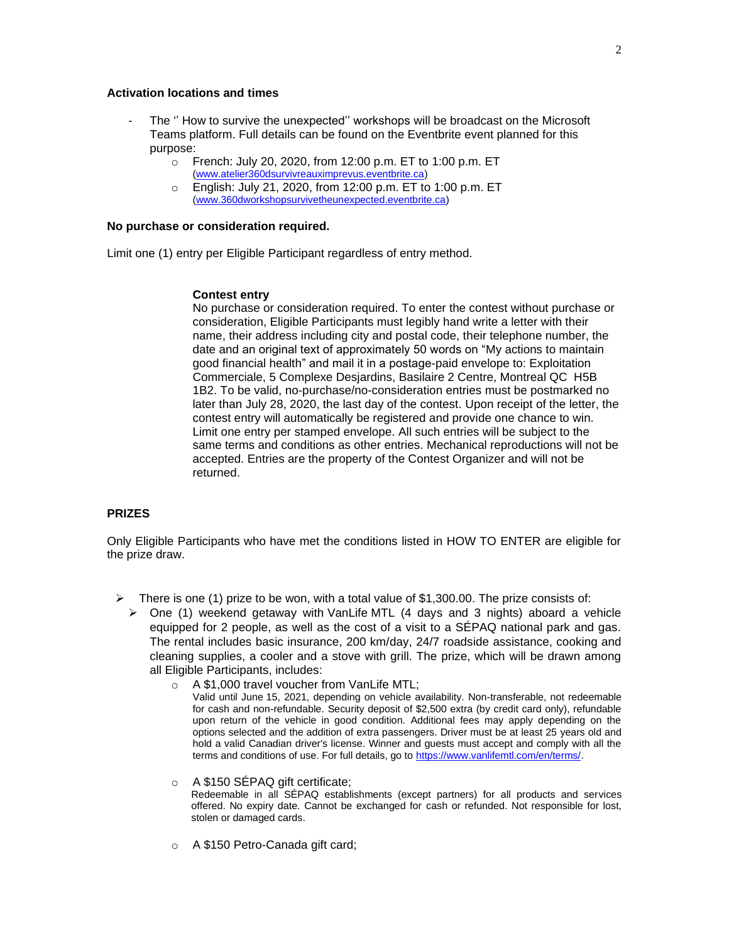### **Activation locations and times**

- The " How to survive the unexpected" workshops will be broadcast on the Microsoft Teams platform. Full details can be found on the Eventbrite event planned for this purpose:
	- o French: July 20, 2020, from 12:00 p.m. ET to 1:00 p.m. ET [\(www.atelier360dsurvivreauximprevus.eventbrite.ca\)](http://www.atelier360dsurvivreauximprevus.eventbrite.ca/)
	- o English: July 21, 2020, from 12:00 p.m. ET to 1:00 p.m. ET [\(www.360dworkshopsurvivetheunexpected.eventbrite.ca\)](http://www.360dworkshopsurvivetheunexpected.eventbrite.ca/)

#### **No purchase or consideration required.**

Limit one (1) entry per Eligible Participant regardless of entry method.

#### **Contest entry**

No purchase or consideration required. To enter the contest without purchase or consideration, Eligible Participants must legibly hand write a letter with their name, their address including city and postal code, their telephone number, the date and an original text of approximately 50 words on "My actions to maintain good financial health" and mail it in a postage-paid envelope to: Exploitation Commerciale, 5 Complexe Desjardins, Basilaire 2 Centre, Montreal QC H5B 1B2. To be valid, no-purchase/no-consideration entries must be postmarked no later than July 28, 2020, the last day of the contest. Upon receipt of the letter, the contest entry will automatically be registered and provide one chance to win. Limit one entry per stamped envelope. All such entries will be subject to the same terms and conditions as other entries. Mechanical reproductions will not be accepted. Entries are the property of the Contest Organizer and will not be returned.

### **PRIZES**

Only Eligible Participants who have met the conditions listed in HOW TO ENTER are eligible for the prize draw.

- ➢ There is one (1) prize to be won, with a total value of \$1,300.00. The prize consists of:
	- $\triangleright$  One (1) weekend getaway with VanLife MTL (4 days and 3 nights) aboard a vehicle equipped for 2 people, as well as the cost of a visit to a SÉPAQ national park and gas. The rental includes basic insurance, 200 km/day, 24/7 roadside assistance, cooking and cleaning supplies, a cooler and a stove with grill. The prize, which will be drawn among all Eligible Participants, includes:
		- o A \$1,000 travel voucher from VanLife MTL;
			- Valid until June 15, 2021, depending on vehicle availability. Non-transferable, not redeemable for cash and non-refundable. Security deposit of \$2,500 extra (by credit card only), refundable upon return of the vehicle in good condition. Additional fees may apply depending on the options selected and the addition of extra passengers. Driver must be at least 25 years old and hold a valid Canadian driver's license. Winner and guests must accept and comply with all the terms and conditions of use. For full details, go to [https://www.vanlifemtl.com/en/terms/.](https://www.vanlifemtl.com/en/terms/)
		- o A \$150 SÉPAQ gift certificate;

Redeemable in all SÉPAQ establishments (except partners) for all products and services offered. No expiry date. Cannot be exchanged for cash or refunded. Not responsible for lost, stolen or damaged cards.

o A \$150 Petro-Canada gift card;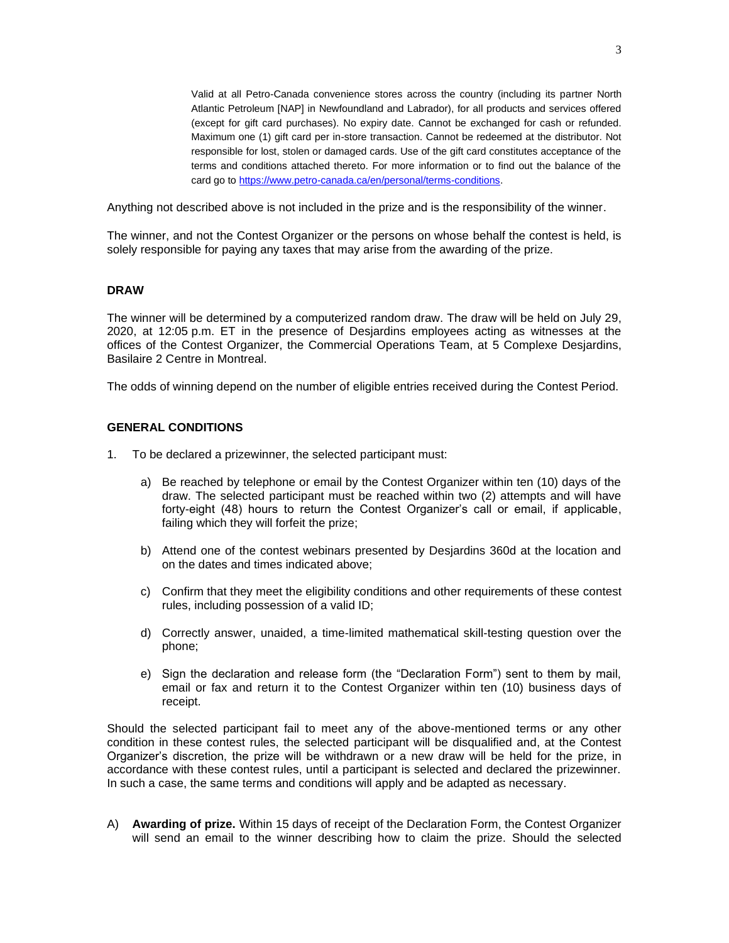Valid at all Petro-Canada convenience stores across the country (including its partner North Atlantic Petroleum [NAP] in Newfoundland and Labrador), for all products and services offered (except for gift card purchases). No expiry date. Cannot be exchanged for cash or refunded. Maximum one (1) gift card per in-store transaction. Cannot be redeemed at the distributor. Not responsible for lost, stolen or damaged cards. Use of the gift card constitutes acceptance of the terms and conditions attached thereto. For more information or to find out the balance of the card go to [https://www.petro-canada.ca/en/personal/terms-conditions.](https://www.petro-canada.ca/en/personal/terms-conditions)

Anything not described above is not included in the prize and is the responsibility of the winner.

The winner, and not the Contest Organizer or the persons on whose behalf the contest is held, is solely responsible for paying any taxes that may arise from the awarding of the prize.

#### **DRAW**

The winner will be determined by a computerized random draw. The draw will be held on July 29, 2020, at 12:05 p.m. ET in the presence of Desjardins employees acting as witnesses at the offices of the Contest Organizer, the Commercial Operations Team, at 5 Complexe Desjardins, Basilaire 2 Centre in Montreal.

The odds of winning depend on the number of eligible entries received during the Contest Period.

#### **GENERAL CONDITIONS**

- 1. To be declared a prizewinner, the selected participant must:
	- a) Be reached by telephone or email by the Contest Organizer within ten (10) days of the draw. The selected participant must be reached within two (2) attempts and will have forty-eight (48) hours to return the Contest Organizer's call or email, if applicable, failing which they will forfeit the prize;
	- b) Attend one of the contest webinars presented by Desjardins 360d at the location and on the dates and times indicated above;
	- c) Confirm that they meet the eligibility conditions and other requirements of these contest rules, including possession of a valid ID;
	- d) Correctly answer, unaided, a time-limited mathematical skill-testing question over the phone;
	- e) Sign the declaration and release form (the "Declaration Form") sent to them by mail, email or fax and return it to the Contest Organizer within ten (10) business days of receipt.

Should the selected participant fail to meet any of the above-mentioned terms or any other condition in these contest rules, the selected participant will be disqualified and, at the Contest Organizer's discretion, the prize will be withdrawn or a new draw will be held for the prize, in accordance with these contest rules, until a participant is selected and declared the prizewinner. In such a case, the same terms and conditions will apply and be adapted as necessary.

A) **Awarding of prize.** Within 15 days of receipt of the Declaration Form, the Contest Organizer will send an email to the winner describing how to claim the prize. Should the selected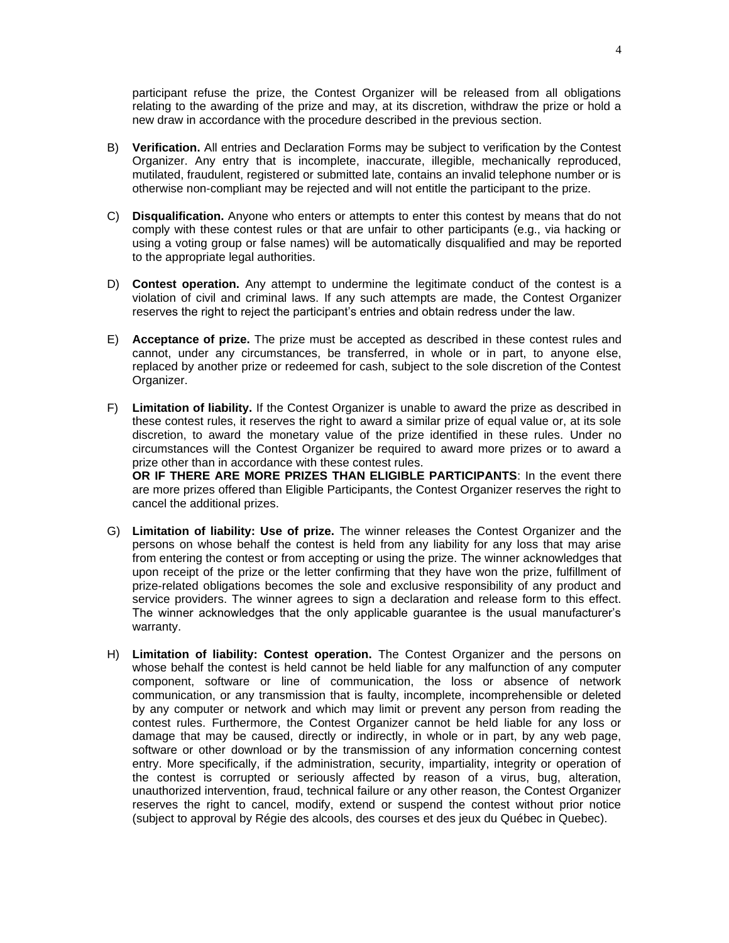participant refuse the prize, the Contest Organizer will be released from all obligations relating to the awarding of the prize and may, at its discretion, withdraw the prize or hold a new draw in accordance with the procedure described in the previous section.

- B) **Verification.** All entries and Declaration Forms may be subject to verification by the Contest Organizer. Any entry that is incomplete, inaccurate, illegible, mechanically reproduced, mutilated, fraudulent, registered or submitted late, contains an invalid telephone number or is otherwise non-compliant may be rejected and will not entitle the participant to the prize.
- C) **Disqualification.** Anyone who enters or attempts to enter this contest by means that do not comply with these contest rules or that are unfair to other participants (e.g., via hacking or using a voting group or false names) will be automatically disqualified and may be reported to the appropriate legal authorities.
- D) **Contest operation.** Any attempt to undermine the legitimate conduct of the contest is a violation of civil and criminal laws. If any such attempts are made, the Contest Organizer reserves the right to reject the participant's entries and obtain redress under the law.
- E) **Acceptance of prize.** The prize must be accepted as described in these contest rules and cannot, under any circumstances, be transferred, in whole or in part, to anyone else, replaced by another prize or redeemed for cash, subject to the sole discretion of the Contest Organizer.
- F) **Limitation of liability.** If the Contest Organizer is unable to award the prize as described in these contest rules, it reserves the right to award a similar prize of equal value or, at its sole discretion, to award the monetary value of the prize identified in these rules. Under no circumstances will the Contest Organizer be required to award more prizes or to award a prize other than in accordance with these contest rules. **OR IF THERE ARE MORE PRIZES THAN ELIGIBLE PARTICIPANTS**: In the event there are more prizes offered than Eligible Participants, the Contest Organizer reserves the right to cancel the additional prizes.
- G) **Limitation of liability: Use of prize.** The winner releases the Contest Organizer and the persons on whose behalf the contest is held from any liability for any loss that may arise from entering the contest or from accepting or using the prize. The winner acknowledges that upon receipt of the prize or the letter confirming that they have won the prize, fulfillment of prize-related obligations becomes the sole and exclusive responsibility of any product and service providers. The winner agrees to sign a declaration and release form to this effect. The winner acknowledges that the only applicable guarantee is the usual manufacturer's warranty.
- H) **Limitation of liability: Contest operation.** The Contest Organizer and the persons on whose behalf the contest is held cannot be held liable for any malfunction of any computer component, software or line of communication, the loss or absence of network communication, or any transmission that is faulty, incomplete, incomprehensible or deleted by any computer or network and which may limit or prevent any person from reading the contest rules. Furthermore, the Contest Organizer cannot be held liable for any loss or damage that may be caused, directly or indirectly, in whole or in part, by any web page, software or other download or by the transmission of any information concerning contest entry. More specifically, if the administration, security, impartiality, integrity or operation of the contest is corrupted or seriously affected by reason of a virus, bug, alteration, unauthorized intervention, fraud, technical failure or any other reason, the Contest Organizer reserves the right to cancel, modify, extend or suspend the contest without prior notice (subject to approval by Régie des alcools, des courses et des jeux du Québec in Quebec).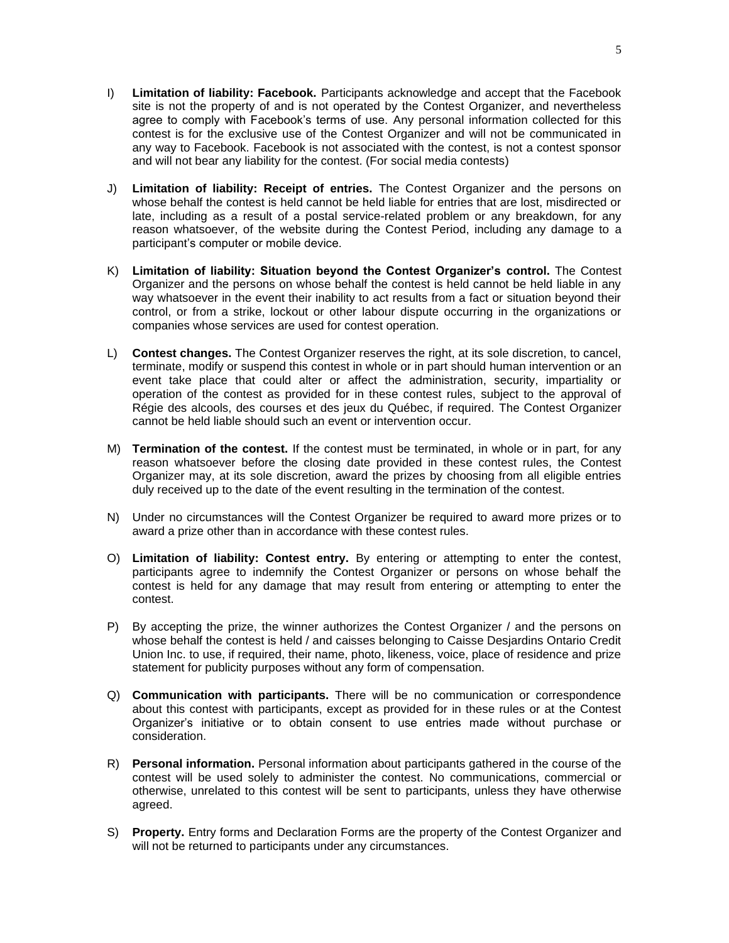- I) **Limitation of liability: Facebook.** Participants acknowledge and accept that the Facebook site is not the property of and is not operated by the Contest Organizer, and nevertheless agree to comply with Facebook's terms of use. Any personal information collected for this contest is for the exclusive use of the Contest Organizer and will not be communicated in any way to Facebook. Facebook is not associated with the contest, is not a contest sponsor and will not bear any liability for the contest. (For social media contests)
- J) **Limitation of liability: Receipt of entries.** The Contest Organizer and the persons on whose behalf the contest is held cannot be held liable for entries that are lost, misdirected or late, including as a result of a postal service-related problem or any breakdown, for any reason whatsoever, of the website during the Contest Period, including any damage to a participant's computer or mobile device.
- K) **Limitation of liability: Situation beyond the Contest Organizer's control.** The Contest Organizer and the persons on whose behalf the contest is held cannot be held liable in any way whatsoever in the event their inability to act results from a fact or situation beyond their control, or from a strike, lockout or other labour dispute occurring in the organizations or companies whose services are used for contest operation.
- L) **Contest changes.** The Contest Organizer reserves the right, at its sole discretion, to cancel, terminate, modify or suspend this contest in whole or in part should human intervention or an event take place that could alter or affect the administration, security, impartiality or operation of the contest as provided for in these contest rules, subject to the approval of Régie des alcools, des courses et des jeux du Québec, if required. The Contest Organizer cannot be held liable should such an event or intervention occur.
- M) **Termination of the contest.** If the contest must be terminated, in whole or in part, for any reason whatsoever before the closing date provided in these contest rules, the Contest Organizer may, at its sole discretion, award the prizes by choosing from all eligible entries duly received up to the date of the event resulting in the termination of the contest.
- N) Under no circumstances will the Contest Organizer be required to award more prizes or to award a prize other than in accordance with these contest rules.
- O) **Limitation of liability: Contest entry.** By entering or attempting to enter the contest, participants agree to indemnify the Contest Organizer or persons on whose behalf the contest is held for any damage that may result from entering or attempting to enter the contest.
- P) By accepting the prize, the winner authorizes the Contest Organizer / and the persons on whose behalf the contest is held / and caisses belonging to Caisse Desjardins Ontario Credit Union Inc. to use, if required, their name, photo, likeness, voice, place of residence and prize statement for publicity purposes without any form of compensation.
- Q) **Communication with participants.** There will be no communication or correspondence about this contest with participants, except as provided for in these rules or at the Contest Organizer's initiative or to obtain consent to use entries made without purchase or consideration.
- R) **Personal information.** Personal information about participants gathered in the course of the contest will be used solely to administer the contest. No communications, commercial or otherwise, unrelated to this contest will be sent to participants, unless they have otherwise agreed.
- S) **Property.** Entry forms and Declaration Forms are the property of the Contest Organizer and will not be returned to participants under any circumstances.